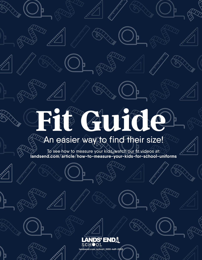# **Fit Guide**

þ

# $\mathbb Z$ An easier way to find their size!

To see how to measure your kids, watch our fit videos at: **landsend.com/article/how-to-measure-your-kids-for-school-uniforms**

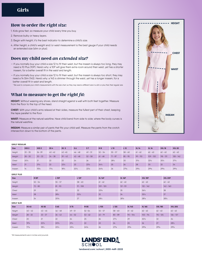# **How to order** *the right size:*

- 1. Kids grow fast, so measure your child every time you buy.
- 2. Remove bulky or heavy layers.
- 3. Begin with height; it's the best indicator to determine a child's size.
- 4. After height, a child's weight and/or waist measurement is the best gauge if your child needs an extended size (slim or plus).

# **Does my child need** *an extended size?*

- If you normally buy your child a size 12 to fit their waist, but the inseam is always too long, they may need a 10 Plus (10P). Here's why: a 10P will give them extra room around their waist, yet has a shorter inseam, for a better overall fit in the waist and length.
- If you normally buy your child a size 12 to fit their waist, but the inseam is always too short, they may need a 14 Slim (14S). Here's why: a 14S is slimmer through the waist, yet has a longer inseam, for a better overall fit in waist and length.

*\* Be sure to compare your child's measurements with the size chart, as they may need a different size in a slim or plus than their regular size.*

# **What to measure to get** *the right fit:*

**HEIGHT:** Without wearing any shoes, stand straight against a wall with both feet together. Measure from the floor to the top of the head.

**CHEST:** With your child's arms relaxed at their sides, measure the fullest part of their chest, keeping the tape parallel to the floor

**WAIST:** Measure at the natural waistline. Have child bend from side to side; where the body curves is the natural waistline.

**INSEAM:** Measure a similar pair of pants that fits your child well. Measure the pants from the crotch intersection down to the bottom of the pants.



| <b>GIRLS' REGULAR</b> |                  |                  |                 |                 |                |                 |                 |                 |                 |                 |                 |                 |                 |
|-----------------------|------------------|------------------|-----------------|-----------------|----------------|-----------------|-----------------|-----------------|-----------------|-----------------|-----------------|-----------------|-----------------|
| <b>Size</b>           | XXS <sub>2</sub> | XXS <sub>3</sub> | XS <sub>4</sub> | XS <sub>5</sub> | S <sub>6</sub> | S <sub>7</sub>  | <b>M8</b>       | L <sub>10</sub> | L <sub>12</sub> | <b>XL14</b>     | <b>XL16</b>     | <b>XXL18</b>    | <b>XXL 20</b>   |
| Height                | $33 - 35$        | $36 - 39$        | $40 - 42$       | $43 - 45$       | $46 - 48$      | $49 - 51$       | $52 - 54$       | $55 - 57$       | $58 - 60$       | $61 - 62$       | $62 - 63$       | $62 - 63$       | $62 - 63$       |
| Weight                | $28 - 30$        | $30 - 33$        | $34 - 38$       | $39 - 43$       | $42 - 48$      | $52 - 58$       | $61 - 68$       | $71 - 87$       | $85 - 95$       | $99 - 110$      | $109 - 120$     | $118 - 131$     | $128 - 142$     |
| Chest                 | $20\frac{1}{2}$  | 21               | 22              | 23              | 24             | 26              | 27              | $28\frac{1}{2}$ | 30              | $31\frac{1}{2}$ | $33\frac{1}{2}$ | $35\frac{1}{2}$ | $37\frac{1}{2}$ |
| Waist                 | 21               | $21\frac{1}{2}$  | 22              | $22\frac{1}{2}$ | 23             | $23\frac{1}{2}$ | $24\frac{1}{2}$ | 25              | 26              | 28              | 30              | 32              | 34              |
| Inseam                | 14               | $15\frac{5}{8}$  | $17\frac{1}{8}$ | $18\frac{3}{4}$ | $20\%$         | $23\frac{1}{8}$ | $24^{3}/8$      | 26              | $27\frac{5}{8}$ | $29\%$          | $29^{5}/8$      | $29\frac{5}{8}$ | $29\frac{5}{8}$ |

**GIRLS' PLUS** 

| <b>Size</b> | M <sub>8P</sub> | <b>L10P</b>     | L 12P           | <b>XL 14P</b>   | <b>XL 16P</b>   | XXL18P          | XXL 20P         |
|-------------|-----------------|-----------------|-----------------|-----------------|-----------------|-----------------|-----------------|
| Height      | $52 - 54$       | $55 - 57$       | $58 - 60$       | $61 - 62$       | $62 - 63$       | $62 - 63$       | $62 - 63$       |
| Weight      | $72 - 80$       | $81 - 90$       | $91 - 108$      | $109 - 120$     | $121 - 131$     | $132 - 142$     | $143 - 160$     |
| Chest       | 29              | 30              | 32              | $33\frac{3}{8}$ | 35              | $36\frac{1}{2}$ | 38              |
| Waist       | 28              | $28\frac{1}{2}$ | $30\frac{1}{2}$ | 32              | 34              | $35\frac{1}{2}$ | 37              |
| Inseam      | 24              | $25\frac{3}{8}$ | 27              | $28\frac{1}{2}$ | $28\frac{7}{8}$ | $28\frac{7}{8}$ | $28\frac{7}{8}$ |

**GIRLS' SLIM** 

| <b>Size</b> | <b>XS 4S</b>    | <b>XS 5S</b>    | <b>S 6S</b>     | <b>S7S</b>      | <b>M8S</b> | <b>L10S</b> | L 12S           | <b>XL14S</b>    | <b>XL16S</b>    | <b>XXL18S</b> | <b>XXL 20S</b>  |
|-------------|-----------------|-----------------|-----------------|-----------------|------------|-------------|-----------------|-----------------|-----------------|---------------|-----------------|
| Height      | $40 - 42$       | $43 - 45$       | $46 - 48$       | $49 - 51$       | $52 - 54$  | $55 - 57$   | $58 - 60$       | $61 - 62$       | $62 - 63$       | $62 - 63$     | $62 - 63$       |
| Weight      | $28 - 32$       | $33 - 37$       | $36 - 43$       | $44 - 52$       | $53 - 62$  | $63 - 79$   | $80 - 89$       | $90 - 104$      | $105 - 114$     | $115 - 125$   | $126 - 137$     |
| Chest       | 20              | 21              | 22              | 24              | 25         | 26          | $27\frac{1}{2}$ | 29              | $30\frac{1}{2}$ | 32            | 34              |
| Waist       | $19^{3}/4$      | $20\frac{1}{4}$ | $20^{3/4}$      | $21\frac{1}{4}$ | 22         | 23          | 24              | 25              | 26              | 27            | $28\frac{1}{2}$ |
| Inseam      | $17\frac{1}{8}$ | $18^{3}/4$      | $20\frac{1}{4}$ | $23\frac{1}{8}$ | $24^{3}/8$ | 26          | $27^{5}/8$      | $29\frac{1}{8}$ | $29^{5}/8$      | $29^{5}/8$    | $29^{5}/8$      |

*\*All measurements are in inches and pounds*

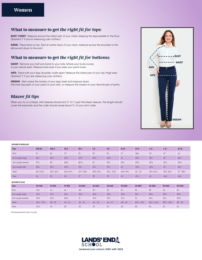# **What to measure to get** *the right fit for tops:*

**BUST/CHEST:** Measure around the fullest part of your chest, keeping the tape parallel to the floor. (Subtract 1" if you're measuring over clothes.)

**ARMS:** Place hand on hip. Start at center back of your neck; measure across the shoulder to the elbow and down to the wrist.

# **What to measure to get** *the right fit for bottoms:*

**WAIST:** Remove your belt and bend to your side. Where your body curves is your natural waist. Measure here even if you wear your pants lower.

**HIPS:** Stand with your legs shoulder-width apart. Measure the fullest part of your hip/thigh area. (Subtract 1" if you are measuring over clothes.)

**INSEAM:** Start where the insides of your legs meet and measure down the inner leg seam of your pants to your hem, or measure the inseam on your favorite pair of pants.

# **Blazer** *fit tips*

When you try on a blazer, shirt sleeves should end 1/2" to 1" past the blazer sleeves. The length should cover the backside, and the collar should reveal about ½" of your shirt collar.



### **WOMEN'S REGULAR**

| <b>Size</b>         | XXS 00                          | XXS O                           | XS <sub>2</sub>                 | <b>XS4</b>                      | S <sub>6</sub>                | S8                              | M 10                            | M 12            | L14                             | L <sub>16</sub>                 | <b>XL18</b>          |
|---------------------|---------------------------------|---------------------------------|---------------------------------|---------------------------------|-------------------------------|---------------------------------|---------------------------------|-----------------|---------------------------------|---------------------------------|----------------------|
| Bust                | 31                              | 32                              | 33                              | 34                              | 35                            | 36                              | 37                              | 381/2           | 40                              | 42                              | 44                   |
| Arm Length (reg)    | $29\frac{1}{4}$                 | $29\frac{1}{2}$                 | $29\frac{7}{8}$                 | $30\%$                          | $30\frac{1}{2}$               | $30\frac{3}{4}$                 | 31                              | $31\frac{3}{8}$ | $31\frac{5}{8}$                 | 32                              | 321/4                |
| Arm Length (petite) | $27^{3}/4$                      | 28                              | $28\frac{3}{8}$                 | $28\frac{5}{8}$                 | 29                            | $29\%$                          | $29\frac{1}{2}$                 | $29\frac{7}{8}$ | $30\frac{1}{8}$                 | $30\frac{1}{2}$                 | $30\frac{3}{4}$      |
| Arm Length (tall)   | 301/4                           | $30\frac{1}{2}$                 | $30\%$                          | $31\frac{1}{8}$                 | $31\frac{1}{2}$               | $31\frac{3}{4}$                 | 32                              | $32\frac{3}{8}$ | $32\frac{5}{8}$                 | 33                              | 331/4                |
| Waist               | $24\frac{1}{2} - 25\frac{1}{2}$ | $25\frac{1}{2} - 26\frac{1}{2}$ | $26\frac{1}{2} - 27\frac{1}{2}$ | $27\frac{1}{2} - 28\frac{1}{2}$ | $28\frac{1}{2}-29\frac{1}{2}$ | $29\frac{1}{2} - 30\frac{1}{2}$ | $30\frac{1}{2} - 31\frac{1}{2}$ | $32 - 33$       | $33\frac{1}{2} - 34\frac{1}{2}$ | $35\frac{1}{2} - 36\frac{1}{2}$ | $37 - 38\frac{1}{2}$ |
| <b>Hips</b>         | 34                              | 35                              | 36                              | 37                              | 38                            | 39                              | 40                              | $41\frac{1}{2}$ | 43                              | $44\frac{1}{2}$                 | $46\frac{1}{2}$      |

### **WOMEN'S PLUS**

| <b>Size</b>         | <b>OX 14W</b>                   | <b>1X16W</b> | <b>1X18W</b>    | <b>2X 20W</b>   | 2X 22W          | 3X 24W          | <b>3X 26W</b>   | <b>4X 28W</b>                   | <b>4X 30W</b>                   | 5X 32W                          | 5X 34W          |
|---------------------|---------------------------------|--------------|-----------------|-----------------|-----------------|-----------------|-----------------|---------------------------------|---------------------------------|---------------------------------|-----------------|
| Bust                | $42\frac{1}{2}$                 | 44           | 46              | 48              | 50              | 52              | 54              | 56                              | 58                              | 60                              | 62              |
| Arm Length (reg)    | $31\frac{3}{8}$                 | $31^{3}/4$   | $32\frac{1}{8}$ | $32\frac{1}{2}$ | $32\frac{7}{8}$ | $33\frac{1}{8}$ | $33\frac{3}{8}$ | $33\frac{1}{2}$                 | $33\frac{5}{8}$                 | 333/4                           | $33\frac{7}{8}$ |
| Arm Length (petite) | $29\frac{7}{8}$                 | 301/4        | $30\frac{5}{8}$ | 31              | $31\frac{3}{8}$ | $31\frac{5}{8}$ | $31\frac{7}{8}$ | 32                              | $32\frac{1}{8}$                 | $32\frac{1}{4}$                 | $32^{3}/8$      |
| Waist               | $36\frac{1}{2} - 37\frac{1}{2}$ | $38 - 39$    | $40 - 41$       | $42 - 43$       | $44 - 45$       | $46 - 47$       | $48 - 49$       | $50\frac{1}{2} - 51\frac{1}{2}$ | $53\frac{1}{2} - 54\frac{1}{2}$ | $55\frac{1}{2} - 56\frac{1}{2}$ | $58 - 59$       |
| <b>Hips</b>         | $44\frac{1}{2}$                 | 46           | 48              | 50              | 52              | 54              | 56              | 58                              | 60                              | 62                              | 64              |

*\*All measurements are in inches*

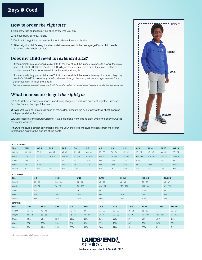## **How to order** *the right size:*

- 1. Kids grow fast, so measure your child every time you buy.
- 2. Remove bulky or heavy layers.
- 3. Begin with height; it's the best indicator to determine a child's size.
- 4. After height, a child's weight and/or waist measurement is the best gauge if your child needs an extended size (slim or plus).

# **Does my child need** *an extended size?*

- If you normally buy your child a size 12 to fit their waist, but the inseam is always too long, they may need a 10 Husky (10H). Here's why: a 10H will give them extra room around their waist, yet has a shorter inseam, for a better overall fit in the waist and length.
- If you normally buy your child a size 12 to fit their waist, but the inseam is always too short, they may need a 14 Slim (14S). Here's why: a 14S is slimmer through the waist, yet has a longer inseam, for a better overall fit in waist and length.

*\* Be sure to compare your child's measurements with the size chart, as they may need a different size in a slim or plus than their regular size.*

# **What to measure to get** *the right fit:*

**HEIGHT:** Without wearing any shoes, stand straight against a wall with both feet together. Measure from the floor to the top of the head.

**CHEST:** With your child's arms relaxed at their sides, measure the fullest part of their chest, keeping the tape parallel to the floor

**WAIST:** Measure at the natural waistline. Have child bend from side to side; where the body curves is the natural waistline.

**INSEAM:** Measure a similar pair of pants that fits your child well. Measure the pants from the crotch intersection down to the bottom of the pants.



| DUIS REGULAR |                  |                  |                 |                 |           |                 |                 |                 |                 |                 |                 |                 |                 |
|--------------|------------------|------------------|-----------------|-----------------|-----------|-----------------|-----------------|-----------------|-----------------|-----------------|-----------------|-----------------|-----------------|
| <b>Size</b>  | XXS <sub>2</sub> | XXS <sub>3</sub> | XS <sub>4</sub> | XS <sub>5</sub> | S6        | S <sub>7</sub>  | M8              | L10             | L <sub>12</sub> | <b>XL 14</b>    | <b>XL16</b>     | <b>XXL18</b>    | <b>XXL 20</b>   |
| Height       | $33 - 35$        | $36 - 39$        | $40 - 42$       | $43 - 45$       | $46 - 47$ | $48 - 49$       | $50 - 53$       | $54 - 56$       | $57 - 59$       | $60 - 62$       | $63 - 65$       | $66 - 67$       | $68 - 69$       |
| Weight       | $27 - 29$        | $30 - 33$        | $34 - 38$       | $39 - 42$       | $43 - 48$ | $49 - 54$       | $55 - 67$       | $68 - 80$       | $81 - 94$       | $95 - 108$      | $109 - 120$     | $121 - 132$     | $133 - 145$     |
| Chest        | $20\frac{1}{2}$  | 21               | 22              | 23              | 24        | $25\frac{1}{2}$ | $26\frac{1}{2}$ | $27\frac{1}{2}$ | $28\frac{1}{2}$ | $30\frac{1}{2}$ | 32              | $33\frac{1}{2}$ | 35              |
| Waist        | 20               | $20\frac{1}{2}$  | 22              | $22\frac{1}{2}$ | 23        | $23\frac{1}{2}$ | $24\frac{1}{2}$ | $25\frac{1}{2}$ | $26\frac{1}{2}$ | 28              | $29\frac{1}{2}$ | 31              | $32\frac{1}{2}$ |
| Inseam       | 14               | $14^{5}/8$       | $17\frac{1}{8}$ | $18^{3}/4$      | $20\%$    | $23\frac{1}{4}$ | $24\frac{1}{4}$ | 25              | $27^{3}/8$      | $29^{3}/4$      | 31              | $31\frac{1}{8}$ | $31^{3}/4$      |

**BOYS' HUSKY** 

**BOYS' REGULAR** 

| <b>Size</b>       | <b>M 8H</b>     |                 | L 10H           |                 | L 12H           |                 | <b>XL 14H</b>   |                 | <b>XL 16H</b>   |                 | XXL18H          |                 | XXL 20H         |                 |
|-------------------|-----------------|-----------------|-----------------|-----------------|-----------------|-----------------|-----------------|-----------------|-----------------|-----------------|-----------------|-----------------|-----------------|-----------------|
| Height            | $50 - 53$       |                 | $54 - 56$       |                 | $57 - 59$       |                 | $60 - 62$       |                 | $63 - 65$       |                 | $66 - 67$       |                 | $68 - 69$       |                 |
| Weight            | $62 - 75$       |                 | $76 - 93$       |                 | $94 - 105$      |                 | $106 - 119$     |                 | $120 - 134$     |                 | $135 - 148$     |                 | $149 - 161$     |                 |
| Chest             | $27\frac{1}{2}$ |                 | 29              |                 | 31              |                 | 33              |                 | 35              |                 | $36\frac{1}{2}$ |                 | 38              |                 |
| Waist             | $25\frac{1}{2}$ |                 | $30\frac{1}{2}$ |                 | 321/4           |                 | $34\frac{1}{4}$ |                 | $36\frac{1}{4}$ |                 | $37\frac{1}{2}$ |                 | $38\frac{3}{4}$ |                 |
| Inseam            | $22\frac{1}{8}$ |                 | $24^{5}/8$      |                 | $27\frac{1}{8}$ |                 | $28\frac{5}{8}$ |                 | $30\%$          |                 | $30\%$          |                 | $31\frac{5}{8}$ |                 |
| <b>BOYS' SLIM</b> |                 |                 |                 |                 |                 |                 |                 |                 |                 |                 |                 |                 |                 |                 |
| <b>Size</b>       | <b>XS 4S</b>    | <b>XS 5S</b>    | S <sub>6S</sub> | <b>S7S</b>      |                 | <b>M8S</b>      | <b>L10S</b>     | L 12S           |                 | <b>XL 14S</b>   | <b>XL 16S</b>   | <b>XXL 18S</b>  |                 | <b>XXL 20S</b>  |
| Height            | $40 - 42$       | $43 - 45$       | $46 - 47$       | $48 - 49$       |                 | $50 - 53$       | $54 - 56$       | $57 - 59$       |                 | $60 - 62$       | $63 - 65$       | $66 - 67$       |                 | $68 - 69$       |
| Weight            | $28 - 32$       | $33 - 36$       | $37 - 42$       | $43 - 47$       |                 | $48 - 58$       | $59 - 71$       | $72 - 83$       |                 | $84 - 96$       | $97 - 109$      | $110 - 122$     |                 | $123 - 135$     |
| Chest             | $20^{3}/4$      | $21^{3}/4$      | $22^{3}/4$      | $23\frac{3}{4}$ |                 | 251/4           | $26^{3}/4$      | 281/4           |                 | $29^{3}/4$      | $31\frac{1}{4}$ | $32^{3}/4$      |                 | $34\frac{1}{4}$ |
| Waist             | $19^{3}/_{4}$   | $20\frac{1}{2}$ | $20^{3}/4$      | $21\frac{1}{4}$ |                 | $21\frac{1}{2}$ | $22\frac{1}{2}$ | $23\frac{1}{2}$ |                 | $24\frac{1}{2}$ | $25\frac{1}{2}$ | $26\frac{1}{2}$ |                 | $28\frac{1}{2}$ |
| Inseam            | $17\frac{1}{8}$ | $18^{3}/4$      | 201/4           | $20^{3}/4$      |                 | $22\frac{1}{4}$ | $24^{3}/4$      | $27\frac{1}{4}$ |                 | $28^{3}/4$      | 301/4           | 31              |                 | $31^{3}/4$      |

*\*All measurements are in inches and pounds*